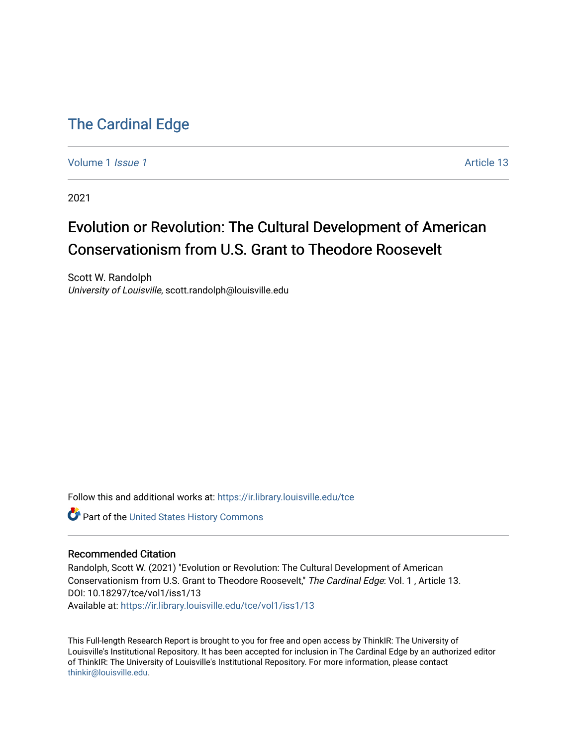# [The Cardinal Edge](https://ir.library.louisville.edu/tce)

[Volume 1](https://ir.library.louisville.edu/tce/vol1) *Issue 1* Article 13

2021

# Evolution or Revolution: The Cultural Development of American Conservationism from U.S. Grant to Theodore Roosevelt

Scott W. Randolph University of Louisville, scott.randolph@louisville.edu

Follow this and additional works at: [https://ir.library.louisville.edu/tce](https://ir.library.louisville.edu/tce?utm_source=ir.library.louisville.edu%2Ftce%2Fvol1%2Fiss1%2F13&utm_medium=PDF&utm_campaign=PDFCoverPages)

Part of the [United States History Commons](http://network.bepress.com/hgg/discipline/495?utm_source=ir.library.louisville.edu%2Ftce%2Fvol1%2Fiss1%2F13&utm_medium=PDF&utm_campaign=PDFCoverPages) 

## Recommended Citation

Randolph, Scott W. (2021) "Evolution or Revolution: The Cultural Development of American Conservationism from U.S. Grant to Theodore Roosevelt," The Cardinal Edge: Vol. 1 , Article 13. DOI: 10.18297/tce/vol1/iss1/13 Available at: [https://ir.library.louisville.edu/tce/vol1/iss1/13](https://ir.library.louisville.edu/tce/vol1/iss1/13?utm_source=ir.library.louisville.edu%2Ftce%2Fvol1%2Fiss1%2F13&utm_medium=PDF&utm_campaign=PDFCoverPages) 

This Full-length Research Report is brought to you for free and open access by ThinkIR: The University of Louisville's Institutional Repository. It has been accepted for inclusion in The Cardinal Edge by an authorized editor of ThinkIR: The University of Louisville's Institutional Repository. For more information, please contact [thinkir@louisville.edu.](mailto:thinkir@louisville.edu)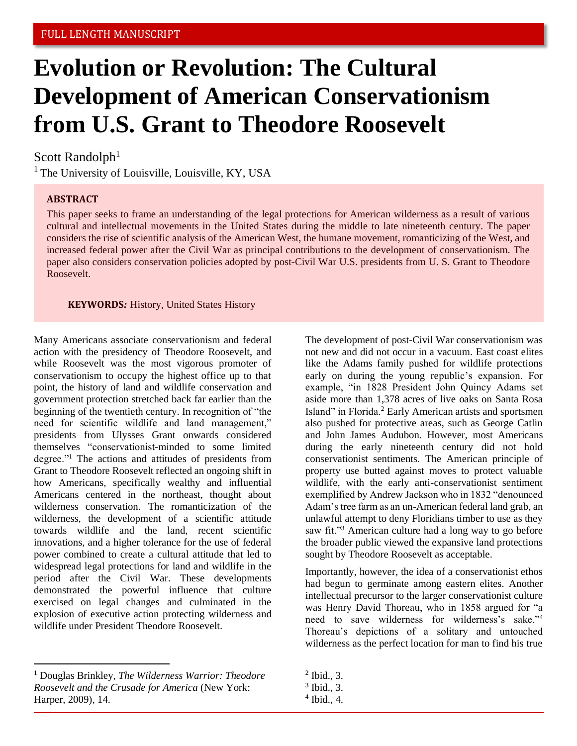# **Evolution or Revolution: The Cultural Development of American Conservationism from U.S. Grant to Theodore Roosevelt**

# Scott Randolph $1$

 $<sup>1</sup>$  The University of Louisville, Louisville, KY, USA</sup>

## **ABSTRACT**

This paper seeks to frame an understanding of the legal protections for American wilderness as a result of various cultural and intellectual movements in the United States during the middle to late nineteenth century. The paper considers the rise of scientific analysis of the American West, the humane movement, romanticizing of the West, and increased federal power after the Civil War as principal contributions to the development of conservationism. The paper also considers conservation policies adopted by post-Civil War U.S. presidents from U. S. Grant to Theodore Roosevelt.

#### **KEYWORDS***:* History, United States History

Many Americans associate conservationism and federal action with the presidency of Theodore Roosevelt, and while Roosevelt was the most vigorous promoter of conservationism to occupy the highest office up to that point, the history of land and wildlife conservation and government protection stretched back far earlier than the beginning of the twentieth century. In recognition of "the need for scientific wildlife and land management," presidents from Ulysses Grant onwards considered themselves "conservationist-minded to some limited degree."<sup>1</sup> The actions and attitudes of presidents from Grant to Theodore Roosevelt reflected an ongoing shift in how Americans, specifically wealthy and influential Americans centered in the northeast, thought about wilderness conservation. The romanticization of the wilderness, the development of a scientific attitude towards wildlife and the land, recent scientific innovations, and a higher tolerance for the use of federal power combined to create a cultural attitude that led to widespread legal protections for land and wildlife in the period after the Civil War. These developments demonstrated the powerful influence that culture exercised on legal changes and culminated in the explosion of executive action protecting wilderness and wildlife under President Theodore Roosevelt.

<sup>1</sup> Douglas Brinkley, *The Wilderness Warrior: Theodore Roosevelt and the Crusade for America* (New York: Harper, 2009), 14.

The development of post-Civil War conservationism was not new and did not occur in a vacuum. East coast elites like the Adams family pushed for wildlife protections early on during the young republic's expansion. For example, "in 1828 President John Quincy Adams set aside more than 1,378 acres of live oaks on Santa Rosa Island" in Florida.<sup>2</sup> Early American artists and sportsmen also pushed for protective areas, such as George Catlin and John James Audubon. However, most Americans during the early nineteenth century did not hold conservationist sentiments. The American principle of property use butted against moves to protect valuable wildlife, with the early anti-conservationist sentiment exemplified by Andrew Jackson who in 1832 "denounced Adam's tree farm as an un-American federal land grab, an unlawful attempt to deny Floridians timber to use as they saw fit."<sup>3</sup> American culture had a long way to go before the broader public viewed the expansive land protections sought by Theodore Roosevelt as acceptable.

Importantly, however, the idea of a conservationist ethos had begun to germinate among eastern elites. Another intellectual precursor to the larger conservationist culture was Henry David Thoreau, who in 1858 argued for "a need to save wilderness for wilderness's sake."<sup>4</sup> Thoreau's depictions of a solitary and untouched wilderness as the perfect location for man to find his true

 $<sup>2</sup>$  Ibid., 3.</sup>

<sup>3</sup> Ibid., 3.

<sup>4</sup> Ibid., 4.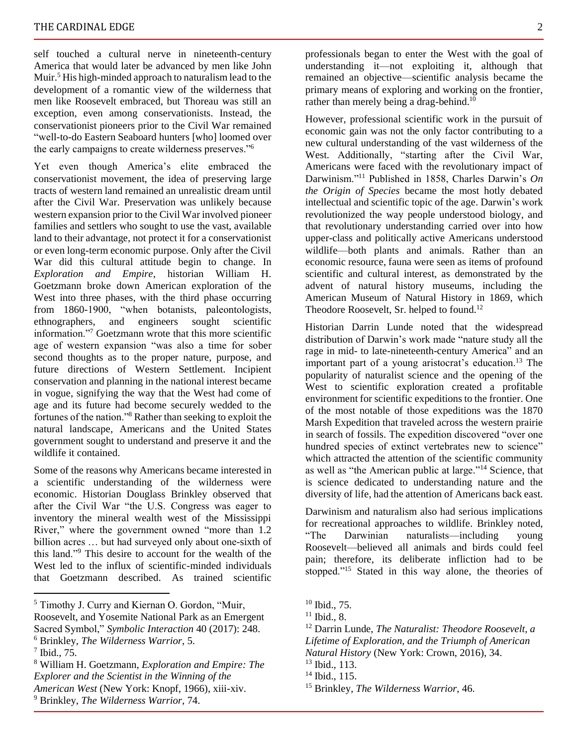self touched a cultural nerve in nineteenth-century America that would later be advanced by men like John Muir.<sup>5</sup> His high-minded approach to naturalism lead to the development of a romantic view of the wilderness that men like Roosevelt embraced, but Thoreau was still an exception, even among conservationists. Instead, the conservationist pioneers prior to the Civil War remained "well-to-do Eastern Seaboard hunters [who] loomed over the early campaigns to create wilderness preserves."<sup>6</sup>

Yet even though America's elite embraced the conservationist movement, the idea of preserving large tracts of western land remained an unrealistic dream until after the Civil War. Preservation was unlikely because western expansion prior to the Civil War involved pioneer families and settlers who sought to use the vast, available land to their advantage, not protect it for a conservationist or even long-term economic purpose. Only after the Civil War did this cultural attitude begin to change. In *Exploration and Empire*, historian William H. Goetzmann broke down American exploration of the West into three phases, with the third phase occurring from 1860-1900, "when botanists, paleontologists, ethnographers, and engineers sought scientific information."<sup>7</sup> Goetzmann wrote that this more scientific age of western expansion "was also a time for sober second thoughts as to the proper nature, purpose, and future directions of Western Settlement. Incipient conservation and planning in the national interest became in vogue, signifying the way that the West had come of age and its future had become securely wedded to the fortunes of the nation."<sup>8</sup> Rather than seeking to exploit the natural landscape, Americans and the United States government sought to understand and preserve it and the wildlife it contained.

Some of the reasons why Americans became interested in a scientific understanding of the wilderness were economic. Historian Douglass Brinkley observed that after the Civil War "the U.S. Congress was eager to inventory the mineral wealth west of the Mississippi River," where the government owned "more than 1.2 billion acres … but had surveyed only about one-sixth of this land."<sup>9</sup> This desire to account for the wealth of the West led to the influx of scientific-minded individuals that Goetzmann described. As trained scientific

<sup>5</sup> Timothy J. Curry and Kiernan O. Gordon, "Muir,

professionals began to enter the West with the goal of understanding it—not exploiting it, although that remained an objective—scientific analysis became the primary means of exploring and working on the frontier, rather than merely being a drag-behind.<sup>10</sup>

However, professional scientific work in the pursuit of economic gain was not the only factor contributing to a new cultural understanding of the vast wilderness of the West. Additionally, "starting after the Civil War, Americans were faced with the revolutionary impact of Darwinism."<sup>11</sup> Published in 1858, Charles Darwin's *On the Origin of Species* became the most hotly debated intellectual and scientific topic of the age. Darwin's work revolutionized the way people understood biology, and that revolutionary understanding carried over into how upper-class and politically active Americans understood wildlife—both plants and animals. Rather than an economic resource, fauna were seen as items of profound scientific and cultural interest, as demonstrated by the advent of natural history museums, including the American Museum of Natural History in 1869, which Theodore Roosevelt, Sr. helped to found.<sup>12</sup>

Historian Darrin Lunde noted that the widespread distribution of Darwin's work made "nature study all the rage in mid- to late-nineteenth-century America" and an important part of a young aristocrat's education.<sup>13</sup> The popularity of naturalist science and the opening of the West to scientific exploration created a profitable environment for scientific expeditions to the frontier. One of the most notable of those expeditions was the 1870 Marsh Expedition that traveled across the western prairie in search of fossils. The expedition discovered "over one hundred species of extinct vertebrates new to science" which attracted the attention of the scientific community as well as "the American public at large."<sup>14</sup> Science, that is science dedicated to understanding nature and the diversity of life, had the attention of Americans back east.

Darwinism and naturalism also had serious implications for recreational approaches to wildlife. Brinkley noted, "The Darwinian naturalists—including young Roosevelt—believed all animals and birds could feel pain; therefore, its deliberate infliction had to be stopped."<sup>15</sup> Stated in this way alone, the theories of

<sup>15</sup> Brinkley, *The Wilderness Warrior*, 46.

Roosevelt, and Yosemite National Park as an Emergent Sacred Symbol," *Symbolic Interaction* 40 (2017): 248.

<sup>6</sup> Brinkley, *The Wilderness Warrior*, 5.

<sup>7</sup> Ibid., 75.

<sup>8</sup> William H. Goetzmann, *Exploration and Empire: The Explorer and the Scientist in the Winning of the American West* (New York: Knopf, 1966), xiii-xiv. <sup>9</sup> Brinkley, *The Wilderness Warrior*, 74.

 $10$  Ibid., 75.

 $11$  Ibid., 8.

<sup>12</sup> Darrin Lunde, *The Naturalist: Theodore Roosevelt, a Lifetime of Exploration, and the Triumph of American Natural History* (New York: Crown, 2016), 34. <sup>13</sup> Ibid., 113.

<sup>14</sup> Ibid., 115.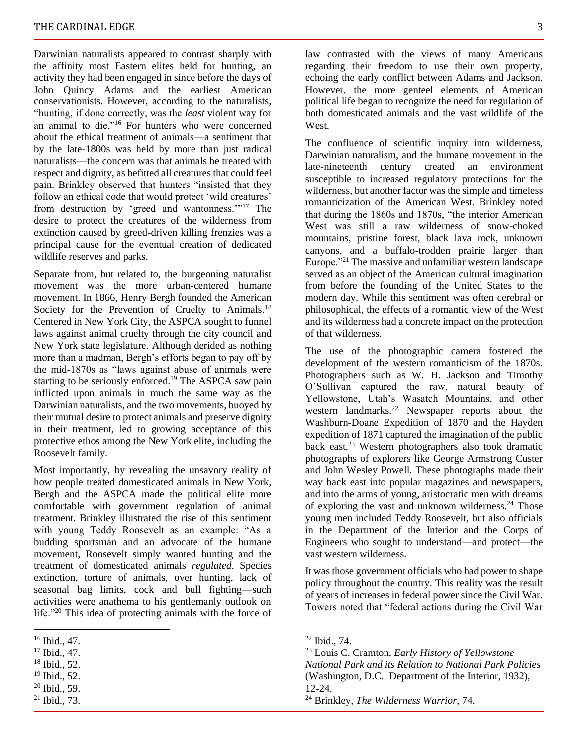Darwinian naturalists appeared to contrast sharply with the affinity most Eastern elites held for hunting, an activity they had been engaged in since before the days of John Quincy Adams and the earliest American conservationists. However, according to the naturalists, "hunting, if done correctly, was the *least* violent way for an animal to die."<sup>16</sup> For hunters who were concerned about the ethical treatment of animals—a sentiment that by the late-1800s was held by more than just radical naturalists—the concern was that animals be treated with respect and dignity, as befitted all creatures that could feel pain. Brinkley observed that hunters "insisted that they follow an ethical code that would protect 'wild creatures' from destruction by 'greed and wantonness.'"<sup>17</sup> The desire to protect the creatures of the wilderness from extinction caused by greed-driven killing frenzies was a principal cause for the eventual creation of dedicated wildlife reserves and parks.

Separate from, but related to, the burgeoning naturalist movement was the more urban-centered humane movement. In 1866, Henry Bergh founded the American Society for the Prevention of Cruelty to Animals.<sup>18</sup> Centered in New York City, the ASPCA sought to funnel laws against animal cruelty through the city council and New York state legislature. Although derided as nothing more than a madman, Bergh's efforts began to pay off by the mid-1870s as "laws against abuse of animals were starting to be seriously enforced.<sup>19</sup> The ASPCA saw pain inflicted upon animals in much the same way as the Darwinian naturalists, and the two movements, buoyed by their mutual desire to protect animals and preserve dignity in their treatment, led to growing acceptance of this protective ethos among the New York elite, including the Roosevelt family.

Most importantly, by revealing the unsavory reality of how people treated domesticated animals in New York, Bergh and the ASPCA made the political elite more comfortable with government regulation of animal treatment. Brinkley illustrated the rise of this sentiment with young Teddy Roosevelt as an example: "As a budding sportsman and an advocate of the humane movement, Roosevelt simply wanted hunting and the treatment of domesticated animals *regulated*. Species extinction, torture of animals, over hunting, lack of seasonal bag limits, cock and bull fighting—such activities were anathema to his gentlemanly outlook on life."<sup>20</sup> This idea of protecting animals with the force of

- $20$  Ibid., 59.
- <sup>21</sup> Ibid., 73.

law contrasted with the views of many Americans regarding their freedom to use their own property, echoing the early conflict between Adams and Jackson. However, the more genteel elements of American political life began to recognize the need for regulation of both domesticated animals and the vast wildlife of the **West** 

The confluence of scientific inquiry into wilderness, Darwinian naturalism, and the humane movement in the late-nineteenth century created an environment susceptible to increased regulatory protections for the wilderness, but another factor was the simple and timeless romanticization of the American West. Brinkley noted that during the 1860s and 1870s, "the interior American West was still a raw wilderness of snow-choked mountains, pristine forest, black lava rock, unknown canyons, and a buffalo-trodden prairie larger than Europe."<sup>21</sup> The massive and unfamiliar western landscape served as an object of the American cultural imagination from before the founding of the United States to the modern day. While this sentiment was often cerebral or philosophical, the effects of a romantic view of the West and its wilderness had a concrete impact on the protection of that wilderness.

The use of the photographic camera fostered the development of the western romanticism of the 1870s. Photographers such as W. H. Jackson and Timothy O'Sullivan captured the raw, natural beauty of Yellowstone, Utah's Wasatch Mountains, and other western landmarks.<sup>22</sup> Newspaper reports about the Washburn-Doane Expedition of 1870 and the Hayden expedition of 1871 captured the imagination of the public back east.<sup>23</sup> Western photographers also took dramatic photographs of explorers like George Armstrong Custer and John Wesley Powell. These photographs made their way back east into popular magazines and newspapers, and into the arms of young, aristocratic men with dreams of exploring the vast and unknown wilderness.<sup>24</sup> Those young men included Teddy Roosevelt, but also officials in the Department of the Interior and the Corps of Engineers who sought to understand—and protect—the vast western wilderness.

It was those government officials who had power to shape policy throughout the country. This reality was the result of years of increases in federal power since the Civil War. Towers noted that "federal actions during the Civil War

<sup>16</sup> Ibid., 47.

<sup>17</sup> Ibid., 47.

<sup>18</sup> Ibid., 52.

 $19$  Ibid., 52.

<sup>22</sup> Ibid., 74.

<sup>23</sup> Louis C. Cramton, *Early History of Yellowstone National Park and its Relation to National Park Policies* (Washington, D.C.: Department of the Interior, 1932), 12-24.

<sup>24</sup> Brinkley, *The Wilderness Warrior*, 74.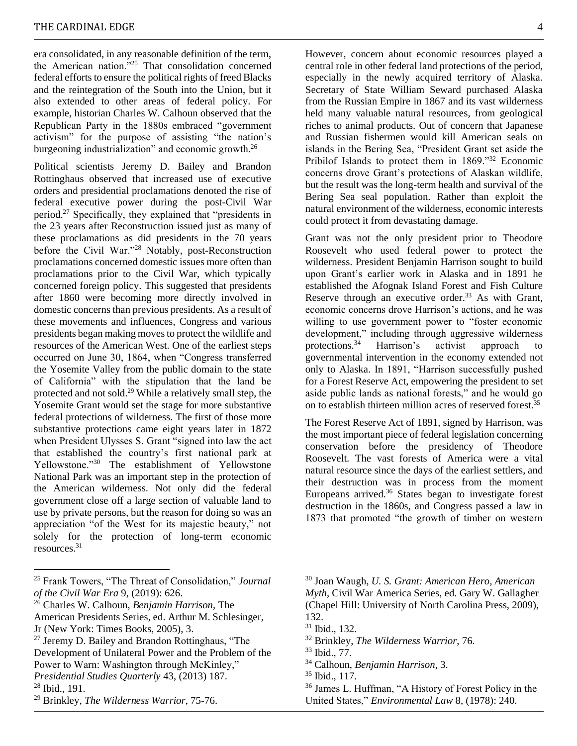era consolidated, in any reasonable definition of the term, the American nation."<sup>25</sup> That consolidation concerned federal efforts to ensure the political rights of freed Blacks and the reintegration of the South into the Union, but it also extended to other areas of federal policy. For example, historian Charles W. Calhoun observed that the Republican Party in the 1880s embraced "government activism" for the purpose of assisting "the nation's burgeoning industrialization" and economic growth.<sup>26</sup>

Political scientists Jeremy D. Bailey and Brandon Rottinghaus observed that increased use of executive orders and presidential proclamations denoted the rise of federal executive power during the post-Civil War period.<sup>27</sup> Specifically, they explained that "presidents in the 23 years after Reconstruction issued just as many of these proclamations as did presidents in the 70 years before the Civil War."<sup>28</sup> Notably, post-Reconstruction proclamations concerned domestic issues more often than proclamations prior to the Civil War, which typically concerned foreign policy. This suggested that presidents after 1860 were becoming more directly involved in domestic concerns than previous presidents. As a result of these movements and influences, Congress and various presidents began making moves to protect the wildlife and resources of the American West. One of the earliest steps occurred on June 30, 1864, when "Congress transferred the Yosemite Valley from the public domain to the state of California" with the stipulation that the land be protected and not sold.<sup>29</sup> While a relatively small step, the Yosemite Grant would set the stage for more substantive federal protections of wilderness. The first of those more substantive protections came eight years later in 1872 when President Ulysses S. Grant "signed into law the act that established the country's first national park at Yellowstone."<sup>30</sup> The establishment of Yellowstone National Park was an important step in the protection of the American wilderness. Not only did the federal government close off a large section of valuable land to use by private persons, but the reason for doing so was an appreciation "of the West for its majestic beauty," not solely for the protection of long-term economic resources.<sup>31</sup>

<sup>28</sup> Ibid., 191.

However, concern about economic resources played a central role in other federal land protections of the period, especially in the newly acquired territory of Alaska. Secretary of State William Seward purchased Alaska from the Russian Empire in 1867 and its vast wilderness held many valuable natural resources, from geological riches to animal products. Out of concern that Japanese and Russian fishermen would kill American seals on islands in the Bering Sea, "President Grant set aside the Pribilof Islands to protect them in 1869."<sup>32</sup> Economic concerns drove Grant's protections of Alaskan wildlife, but the result was the long-term health and survival of the Bering Sea seal population. Rather than exploit the natural environment of the wilderness, economic interests could protect it from devastating damage.

Grant was not the only president prior to Theodore Roosevelt who used federal power to protect the wilderness. President Benjamin Harrison sought to build upon Grant's earlier work in Alaska and in 1891 he established the Afognak Island Forest and Fish Culture Reserve through an executive order. $33$  As with Grant, economic concerns drove Harrison's actions, and he was willing to use government power to "foster economic development," including through aggressive wilderness<br>protections.<sup>34</sup> Harrison's activist approach to protections.<sup>34</sup> Harrison's activist approach governmental intervention in the economy extended not only to Alaska. In 1891, "Harrison successfully pushed for a Forest Reserve Act, empowering the president to set aside public lands as national forests," and he would go on to establish thirteen million acres of reserved forest.<sup>35</sup>

The Forest Reserve Act of 1891, signed by Harrison, was the most important piece of federal legislation concerning conservation before the presidency of Theodore Roosevelt. The vast forests of America were a vital natural resource since the days of the earliest settlers, and their destruction was in process from the moment Europeans arrived.<sup>36</sup> States began to investigate forest destruction in the 1860s, and Congress passed a law in 1873 that promoted "the growth of timber on western

<sup>25</sup> Frank Towers, "The Threat of Consolidation," *Journal of the Civil War Era* 9, (2019): 626.

<sup>26</sup> Charles W. Calhoun, *Benjamin Harrison*, The American Presidents Series, ed. Arthur M. Schlesinger,

Jr (New York: Times Books, 2005), 3.

<sup>27</sup> Jeremy D. Bailey and Brandon Rottinghaus, "The Development of Unilateral Power and the Problem of the Power to Warn: Washington through McKinley," *Presidential Studies Quarterly* 43, (2013) 187.

<sup>29</sup> Brinkley, *The Wilderness Warrior*, 75-76.

<sup>30</sup> Joan Waugh, *U. S. Grant: American Hero, American Myth*, Civil War America Series, ed. Gary W. Gallagher (Chapel Hill: University of North Carolina Press, 2009), 132.

<sup>31</sup> Ibid., 132.

<sup>32</sup> Brinkley, *The Wilderness Warrior*, 76.

<sup>33</sup> Ibid., 77.

<sup>34</sup> Calhoun, *Benjamin Harrison*, 3.

<sup>35</sup> Ibid., 117.

<sup>36</sup> James L. Huffman, "A History of Forest Policy in the United States," *Environmental Law* 8, (1978): 240.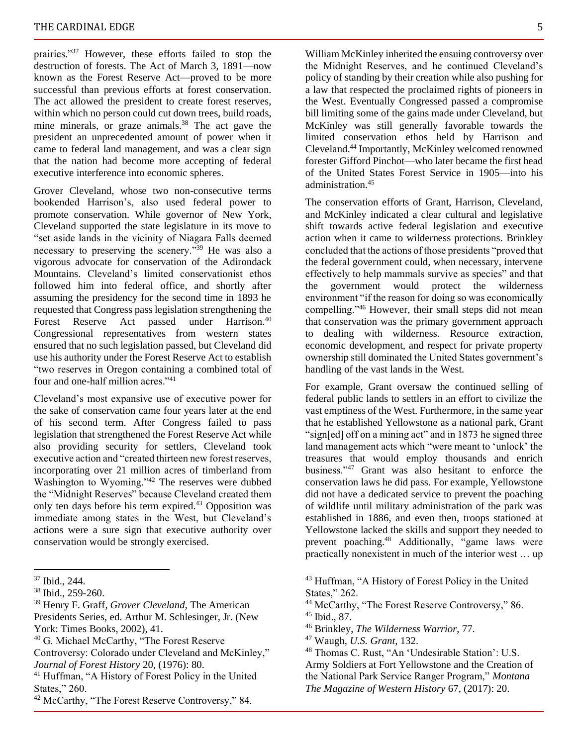prairies."<sup>37</sup> However, these efforts failed to stop the destruction of forests. The Act of March 3, 1891—now known as the Forest Reserve Act—proved to be more successful than previous efforts at forest conservation. The act allowed the president to create forest reserves, within which no person could cut down trees, build roads, mine minerals, or graze animals.<sup>38</sup> The act gave the president an unprecedented amount of power when it came to federal land management, and was a clear sign that the nation had become more accepting of federal executive interference into economic spheres.

Grover Cleveland, whose two non-consecutive terms bookended Harrison's, also used federal power to promote conservation. While governor of New York, Cleveland supported the state legislature in its move to "set aside lands in the vicinity of Niagara Falls deemed necessary to preserving the scenery."<sup>39</sup> He was also a vigorous advocate for conservation of the Adirondack Mountains. Cleveland's limited conservationist ethos followed him into federal office, and shortly after assuming the presidency for the second time in 1893 he requested that Congress pass legislation strengthening the Forest Reserve Act passed under Harrison.<sup>40</sup> Congressional representatives from western states ensured that no such legislation passed, but Cleveland did use his authority under the Forest Reserve Act to establish "two reserves in Oregon containing a combined total of four and one-half million acres."<sup>41</sup>

Cleveland's most expansive use of executive power for the sake of conservation came four years later at the end of his second term. After Congress failed to pass legislation that strengthened the Forest Reserve Act while also providing security for settlers, Cleveland took executive action and "created thirteen new forest reserves, incorporating over 21 million acres of timberland from Washington to Wyoming."<sup>42</sup> The reserves were dubbed the "Midnight Reserves" because Cleveland created them only ten days before his term expired.<sup>43</sup> Opposition was immediate among states in the West, but Cleveland's actions were a sure sign that executive authority over conservation would be strongly exercised.

- <sup>39</sup> Henry F. Graff, *Grover Cleveland*, The American Presidents Series, ed. Arthur M. Schlesinger, Jr. (New York: Times Books, 2002), 41.
- <sup>40</sup> G. Michael McCarthy, "The Forest Reserve Controversy: Colorado under Cleveland and McKinley," *Journal of Forest History* 20, (1976): 80.
- <sup>41</sup> Huffman, "A History of Forest Policy in the United States," 260.

William McKinley inherited the ensuing controversy over the Midnight Reserves, and he continued Cleveland's policy of standing by their creation while also pushing for a law that respected the proclaimed rights of pioneers in the West. Eventually Congressed passed a compromise bill limiting some of the gains made under Cleveland, but McKinley was still generally favorable towards the limited conservation ethos held by Harrison and Cleveland.<sup>44</sup> Importantly, McKinley welcomed renowned forester Gifford Pinchot—who later became the first head of the United States Forest Service in 1905—into his administration.<sup>45</sup>

The conservation efforts of Grant, Harrison, Cleveland, and McKinley indicated a clear cultural and legislative shift towards active federal legislation and executive action when it came to wilderness protections. Brinkley concluded that the actions of those presidents "proved that the federal government could, when necessary, intervene effectively to help mammals survive as species" and that the government would protect the wilderness environment "if the reason for doing so was economically compelling."<sup>46</sup> However, their small steps did not mean that conservation was the primary government approach to dealing with wilderness. Resource extraction, economic development, and respect for private property ownership still dominated the United States government's handling of the vast lands in the West.

For example, Grant oversaw the continued selling of federal public lands to settlers in an effort to civilize the vast emptiness of the West. Furthermore, in the same year that he established Yellowstone as a national park, Grant "sign[ed] off on a mining act" and in 1873 he signed three land management acts which "were meant to 'unlock' the treasures that would employ thousands and enrich business."<sup>47</sup> Grant was also hesitant to enforce the conservation laws he did pass. For example, Yellowstone did not have a dedicated service to prevent the poaching of wildlife until military administration of the park was established in 1886, and even then, troops stationed at Yellowstone lacked the skills and support they needed to prevent poaching.<sup>48</sup> Additionally, "game laws were practically nonexistent in much of the interior west … up

<sup>46</sup> Brinkley, *The Wilderness Warrior*, 77.

<sup>37</sup> Ibid., 244.

<sup>38</sup> Ibid., 259-260.

<sup>&</sup>lt;sup>42</sup> McCarthy, "The Forest Reserve Controversy," 84.

<sup>43</sup> Huffman, "A History of Forest Policy in the United States," 262.

<sup>44</sup> McCarthy, "The Forest Reserve Controversy," 86.

 $45$  Ibid., 87.

<sup>47</sup> Waugh, *U.S. Grant*, 132.

<sup>48</sup> Thomas C. Rust, "An 'Undesirable Station': U.S. Army Soldiers at Fort Yellowstone and the Creation of the National Park Service Ranger Program," *Montana The Magazine of Western History* 67, (2017): 20.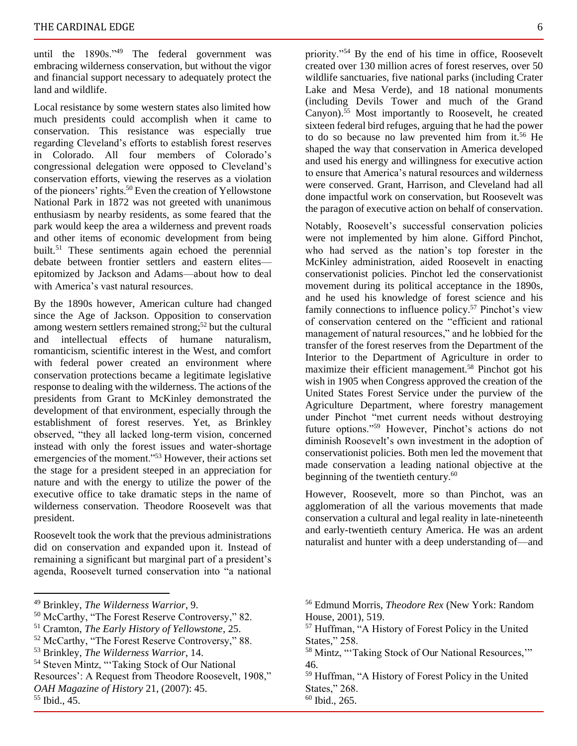until the 1890s."<sup>49</sup> The federal government was embracing wilderness conservation, but without the vigor and financial support necessary to adequately protect the land and wildlife.

Local resistance by some western states also limited how much presidents could accomplish when it came to conservation. This resistance was especially true regarding Cleveland's efforts to establish forest reserves in Colorado. All four members of Colorado's congressional delegation were opposed to Cleveland's conservation efforts, viewing the reserves as a violation of the pioneers' rights.<sup>50</sup> Even the creation of Yellowstone National Park in 1872 was not greeted with unanimous enthusiasm by nearby residents, as some feared that the park would keep the area a wilderness and prevent roads and other items of economic development from being built.<sup>51</sup> These sentiments again echoed the perennial debate between frontier settlers and eastern elites epitomized by Jackson and Adams—about how to deal with America's vast natural resources.

By the 1890s however, American culture had changed since the Age of Jackson. Opposition to conservation among western settlers remained strong;<sup>52</sup> but the cultural and intellectual effects of humane naturalism, romanticism, scientific interest in the West, and comfort with federal power created an environment where conservation protections became a legitimate legislative response to dealing with the wilderness. The actions of the presidents from Grant to McKinley demonstrated the development of that environment, especially through the establishment of forest reserves. Yet, as Brinkley observed, "they all lacked long-term vision, concerned instead with only the forest issues and water-shortage emergencies of the moment."<sup>53</sup> However, their actions set the stage for a president steeped in an appreciation for nature and with the energy to utilize the power of the executive office to take dramatic steps in the name of wilderness conservation. Theodore Roosevelt was that president.

Roosevelt took the work that the previous administrations did on conservation and expanded upon it. Instead of remaining a significant but marginal part of a president's agenda, Roosevelt turned conservation into "a national

priority."<sup>54</sup> By the end of his time in office, Roosevelt created over 130 million acres of forest reserves, over 50 wildlife sanctuaries, five national parks (including Crater Lake and Mesa Verde), and 18 national monuments (including Devils Tower and much of the Grand Canyon).<sup>55</sup> Most importantly to Roosevelt, he created sixteen federal bird refuges, arguing that he had the power to do so because no law prevented him from it.<sup>56</sup> He shaped the way that conservation in America developed and used his energy and willingness for executive action to ensure that America's natural resources and wilderness were conserved. Grant, Harrison, and Cleveland had all done impactful work on conservation, but Roosevelt was the paragon of executive action on behalf of conservation.

Notably, Roosevelt's successful conservation policies were not implemented by him alone. Gifford Pinchot, who had served as the nation's top forester in the McKinley administration, aided Roosevelt in enacting conservationist policies. Pinchot led the conservationist movement during its political acceptance in the 1890s, and he used his knowledge of forest science and his family connections to influence policy.<sup>57</sup> Pinchot's view of conservation centered on the "efficient and rational management of natural resources," and he lobbied for the transfer of the forest reserves from the Department of the Interior to the Department of Agriculture in order to maximize their efficient management.<sup>58</sup> Pinchot got his wish in 1905 when Congress approved the creation of the United States Forest Service under the purview of the Agriculture Department, where forestry management under Pinchot "met current needs without destroying future options."<sup>59</sup> However, Pinchot's actions do not diminish Roosevelt's own investment in the adoption of conservationist policies. Both men led the movement that made conservation a leading national objective at the beginning of the twentieth century.<sup>60</sup>

However, Roosevelt, more so than Pinchot, was an agglomeration of all the various movements that made conservation a cultural and legal reality in late-nineteenth and early-twentieth century America. He was an ardent naturalist and hunter with a deep understanding of—and

<sup>49</sup> Brinkley, *The Wilderness Warrior*, 9.

<sup>50</sup> McCarthy, "The Forest Reserve Controversy," 82.

<sup>51</sup> Cramton, *The Early History of Yellowstone*, 25.

<sup>52</sup> McCarthy, "The Forest Reserve Controversy," 88.

<sup>53</sup> Brinkley, *The Wilderness Warrior*, 14.

<sup>54</sup> Steven Mintz, "'Taking Stock of Our National

Resources': A Request from Theodore Roosevelt, 1908," *OAH Magazine of History* 21, (2007): 45.

<sup>55</sup> Ibid., 45.

<sup>56</sup> Edmund Morris, *Theodore Rex* (New York: Random House, 2001), 519.

<sup>57</sup> Huffman, "A History of Forest Policy in the United States," 258.

<sup>58</sup> Mintz, "'Taking Stock of Our National Resources,'" 46.

<sup>59</sup> Huffman, "A History of Forest Policy in the United States," 268.

<sup>60</sup> Ibid., 265.